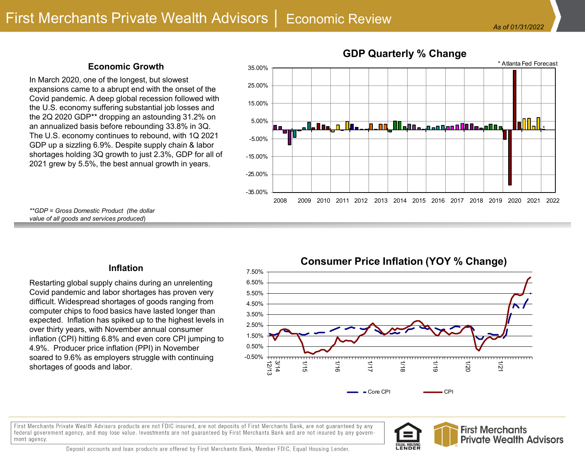### **Economic Growth**

In March 2020, one of the longest, but slowest expansions came to a abrupt end with the onset of the Covid pandemic. A deep global recession followed with the U.S. economy suffering substantial job losses and the 2Q 2020 GDP\*\* dropping an astounding 31.2% on an annualized basis before rebounding 33.8% in 3Q. The U.S. economy continues to rebound, with 1Q 2021 GDP up a sizzling 6.9%. Despite supply chain & labor shortages holding 3Q growth to just 2.3%, GDP for all of 2021 grew by 5.5%, the best annual growth in years.



*\*\*GDP = Gross Domestic Product (the dollar value of all goods and services produced*)

### **Inflation**

Restarting global supply chains during an unrelenting Covid pandemic and labor shortages has proven very difficult. Widespread shortages of goods ranging from computer chips to food basics have lasted longer than expected. Inflation has spiked up to the highest levels in over thirty years, with November annual consumer inflation (CPI) hitting 6.8% and even core CPI jumping to 4.9%. Producer price inflation (PPI) in November soared to 9.6% as employers struggle with continuing shortages of goods and labor.

# **Consumer Price Inflation (YOY % Change)**



First Merchants Private Wealth Advisors products are not FDIC insured, are not deposits of First Merchants Bank, are not guaranteed by any federal government agency, and may lose value. Investments are not guaranteed by First Merchants Bank and are not insured by any government agency.



Deposit accounts and loan products are offered by First Merchants Bank, Member FDIC, Equal Housing Lender.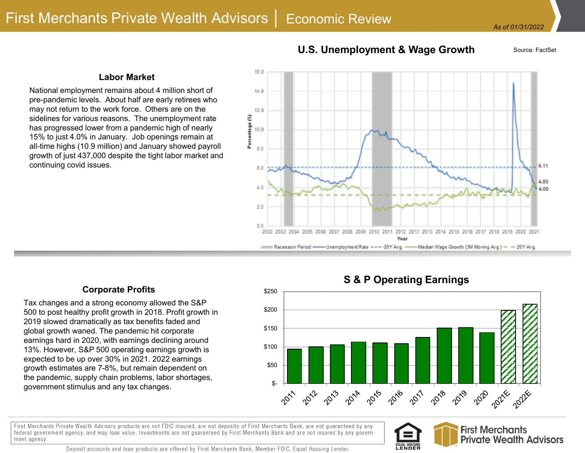## **U.S. Unemployment & Wage Growth** Source: FactSet

### **Labor Market**

National employment remains about 4 million short of pre-pandemic levels. About half are early retirees who may not return to the work force. Others are on the sidelines for various reasons. The unemployment rate has progressed lower from a pandemic high of nearly 15% to just 4.0% in January. Job openings remain at all-time highs (10.9 million) and January showed payroll growth of just 437,000 despite the tight labor market and continuing covid issues.



### **Corporate Profits**

Tax changes and a strong economy allowed the S&P 500 to post healthy profit growth in 2018. Profit growth in 2019 slowed dramatically as tax benefits faded and global growth waned. The pandemic hit corporate earnings hard in 2020, with earnings declining around 13%. However, S&P 500 operating earnings growth is expected to be up over 30% in 2021. 2022 earnings growth estimates are 7-8%, but remain dependent on the pandemic, supply chain problems, labor shortages, government stimulus and any tax changes.

**S & P Operating Earnings**



First Merchants Private Wealth Advisors products are not FDIC insured, are not deposits of First Merchants Bank, are not guaranteed by any federal government agency, and may lose value. Investments are not guaranteed by First Merchants Bank and are not insured by any government agency.





Deposit accounts and loan products are offered by First Merchants Bank, Member FDIC, Equal Housing Lender.